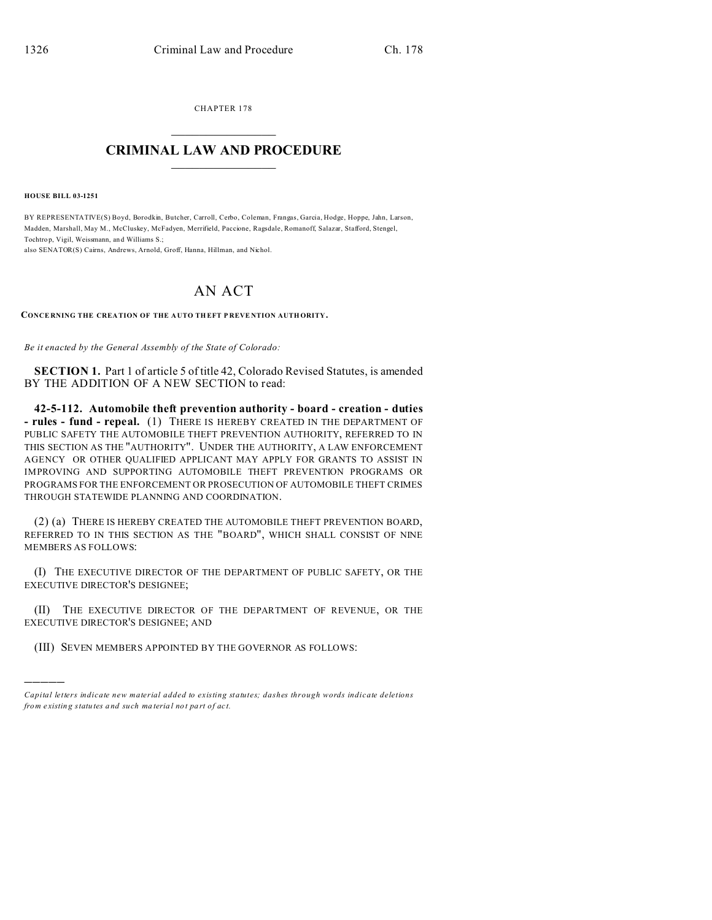CHAPTER 178  $\overline{\phantom{a}}$  , where  $\overline{\phantom{a}}$ 

## **CRIMINAL LAW AND PROCEDURE**  $\_$   $\_$   $\_$   $\_$   $\_$   $\_$   $\_$   $\_$   $\_$

**HOUSE BILL 03-1251**

)))))

BY REPRESENTATIVE(S) Boyd, Borodkin, Butcher, Carroll, Cerbo, Coleman, Frangas, Garcia, Hodge, Hoppe, Jahn, Larson, Madden, Marshall, May M., McCluskey, McFadyen, Merrifield, Paccione, Ragsdale, Romanoff, Salazar, Stafford, Stengel, Tochtro p, Vigil, Weissmann, and Williams S.;

also SENATOR(S) Cairns, Andrews, Arnold, Groff, Hanna, Hillman, and Nichol.

## AN ACT

**CONCE RNING THE CREA TION OF THE A UTO THEFT P REVE NTION AUTHORITY.**

*Be it enacted by the General Assembly of the State of Colorado:*

**SECTION 1.** Part 1 of article 5 of title 42, Colorado Revised Statutes, is amended BY THE ADDITION OF A NEW SECTION to read:

**42-5-112. Automobile theft prevention authority - board - creation - duties - rules - fund - repeal.** (1) THERE IS HEREBY CREATED IN THE DEPARTMENT OF PUBLIC SAFETY THE AUTOMOBILE THEFT PREVENTION AUTHORITY, REFERRED TO IN THIS SECTION AS THE "AUTHORITY". UNDER THE AUTHORITY, A LAW ENFORCEMENT AGENCY OR OTHER QUALIFIED APPLICANT MAY APPLY FOR GRANTS TO ASSIST IN IMPROVING AND SUPPORTING AUTOMOBILE THEFT PREVENTION PROGRAMS OR PROGRAMS FOR THE ENFORCEMENT OR PROSECUTION OF AUTOMOBILE THEFT CRIMES THROUGH STATEWIDE PLANNING AND COORDINATION.

(2) (a) THERE IS HEREBY CREATED THE AUTOMOBILE THEFT PREVENTION BOARD, REFERRED TO IN THIS SECTION AS THE "BOARD", WHICH SHALL CONSIST OF NINE MEMBERS AS FOLLOWS:

(I) THE EXECUTIVE DIRECTOR OF THE DEPARTMENT OF PUBLIC SAFETY, OR THE EXECUTIVE DIRECTOR'S DESIGNEE;

(II) THE EXECUTIVE DIRECTOR OF THE DEPARTMENT OF REVENUE, OR THE EXECUTIVE DIRECTOR'S DESIGNEE; AND

(III) SEVEN MEMBERS APPOINTED BY THE GOVERNOR AS FOLLOWS:

*Capital letters indicate new material added to existing statutes; dashes through words indicate deletions from e xistin g statu tes a nd such ma teria l no t pa rt of ac t.*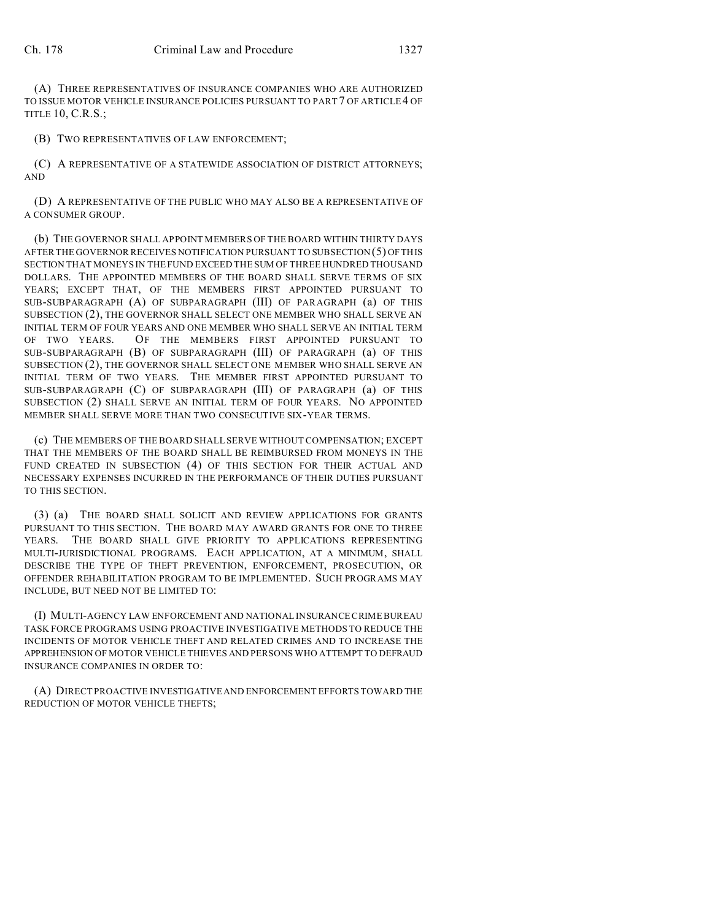(A) THREE REPRESENTATIVES OF INSURANCE COMPANIES WHO ARE AUTHORIZED TO ISSUE MOTOR VEHICLE INSURANCE POLICIES PURSUANT TO PART 7 OF ARTICLE 4 OF TITLE 10, C.R.S.;

(B) TWO REPRESENTATIVES OF LAW ENFORCEMENT;

(C) A REPRESENTATIVE OF A STATEWIDE ASSOCIATION OF DISTRICT ATTORNEYS; AND

(D) A REPRESENTATIVE OF THE PUBLIC WHO MAY ALSO BE A REPRESENTATIVE OF A CONSUMER GROUP.

(b) THE GOVERNOR SHALL APPOINT MEMBERS OF THE BOARD WITHIN THIRTY DAYS AFTER THE GOVERNOR RECEIVES NOTIFICATION PURSUANT TO SUBSECTION (5) OF THIS SECTION THAT MONEYS IN THE FUND EXCEED THE SUM OF THREE HUNDRED THOUSAND DOLLARS. THE APPOINTED MEMBERS OF THE BOARD SHALL SERVE TERMS OF SIX YEARS; EXCEPT THAT, OF THE MEMBERS FIRST APPOINTED PURSUANT TO SUB-SUBPARAGRAPH (A) OF SUBPARAGRAPH (III) OF PARAGRAPH (a) OF THIS SUBSECTION (2), THE GOVERNOR SHALL SELECT ONE MEMBER WHO SHALL SERVE AN INITIAL TERM OF FOUR YEARS AND ONE MEMBER WHO SHALL SERVE AN INITIAL TERM OF TWO YEARS. OF THE MEMBERS FIRST APPOINTED PURSUANT TO SUB-SUBPARAGRAPH (B) OF SUBPARAGRAPH (III) OF PARAGRAPH (a) OF THIS SUBSECTION (2), THE GOVERNOR SHALL SELECT ONE MEMBER WHO SHALL SERVE AN INITIAL TERM OF TWO YEARS. THE MEMBER FIRST APPOINTED PURSUANT TO SUB-SUBPARAGRAPH (C) OF SUBPARAGRAPH (III) OF PARAGRAPH (a) OF THIS SUBSECTION (2) SHALL SERVE AN INITIAL TERM OF FOUR YEARS. NO APPOINTED MEMBER SHALL SERVE MORE THAN TWO CONSECUTIVE SIX-YEAR TERMS.

(c) THE MEMBERS OF THE BOARD SHALL SERVE WITHOUT COMPENSATION; EXCEPT THAT THE MEMBERS OF THE BOARD SHALL BE REIMBURSED FROM MONEYS IN THE FUND CREATED IN SUBSECTION (4) OF THIS SECTION FOR THEIR ACTUAL AND NECESSARY EXPENSES INCURRED IN THE PERFORMANCE OF THEIR DUTIES PURSUANT TO THIS SECTION.

(3) (a) THE BOARD SHALL SOLICIT AND REVIEW APPLICATIONS FOR GRANTS PURSUANT TO THIS SECTION. THE BOARD MAY AWARD GRANTS FOR ONE TO THREE YEARS. THE BOARD SHALL GIVE PRIORITY TO APPLICATIONS REPRESENTING MULTI-JURISDICTIONAL PROGRAMS. EACH APPLICATION, AT A MINIMUM, SHALL DESCRIBE THE TYPE OF THEFT PREVENTION, ENFORCEMENT, PROSECUTION, OR OFFENDER REHABILITATION PROGRAM TO BE IMPLEMENTED. SUCH PROGRAMS MAY INCLUDE, BUT NEED NOT BE LIMITED TO:

(I) MULTI-AGENCY LAW ENFORCEMENT AND NATIONAL INSURANCE CRIME BUREAU TASK FORCE PROGRAMS USING PROACTIVE INVESTIGATIVE METHODS TO REDUCE THE INCIDENTS OF MOTOR VEHICLE THEFT AND RELATED CRIMES AND TO INCREASE THE APPREHENSION OF MOTOR VEHICLE THIEVES AND PERSONS WHO ATTEMPT TO DEFRAUD INSURANCE COMPANIES IN ORDER TO:

(A) DIRECT PROACTIVE INVESTIGATIVE AND ENFORCEMENT EFFORTS TOWARD THE REDUCTION OF MOTOR VEHICLE THEFTS;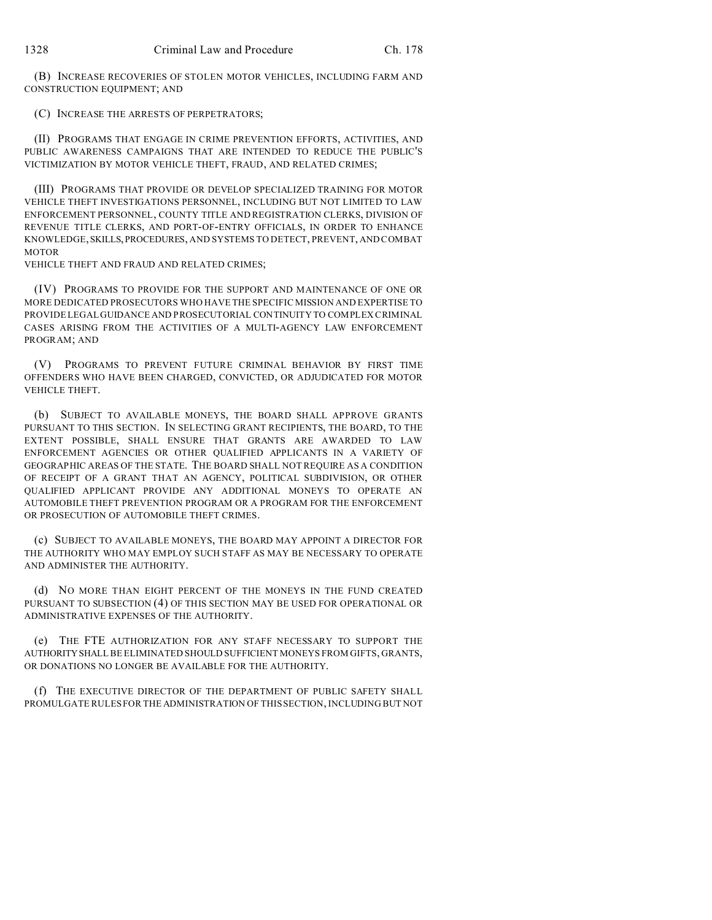(B) INCREASE RECOVERIES OF STOLEN MOTOR VEHICLES, INCLUDING FARM AND CONSTRUCTION EQUIPMENT; AND

(C) INCREASE THE ARRESTS OF PERPETRATORS;

(II) PROGRAMS THAT ENGAGE IN CRIME PREVENTION EFFORTS, ACTIVITIES, AND PUBLIC AWARENESS CAMPAIGNS THAT ARE INTENDED TO REDUCE THE PUBLIC'S VICTIMIZATION BY MOTOR VEHICLE THEFT, FRAUD, AND RELATED CRIMES;

(III) PROGRAMS THAT PROVIDE OR DEVELOP SPECIALIZED TRAINING FOR MOTOR VEHICLE THEFT INVESTIGATIONS PERSONNEL, INCLUDING BUT NOT LIMITED TO LAW ENFORCEMENT PERSONNEL, COUNTY TITLE AND REGISTRATION CLERKS, DIVISION OF REVENUE TITLE CLERKS, AND PORT-OF-ENTRY OFFICIALS, IN ORDER TO ENHANCE KNOWLEDGE, SKILLS, PROCEDURES, AND SYSTEMS TO DETECT, PREVENT, AND COMBAT MOTOR

VEHICLE THEFT AND FRAUD AND RELATED CRIMES;

(IV) PROGRAMS TO PROVIDE FOR THE SUPPORT AND MAINTENANCE OF ONE OR MORE DEDICATED PROSECUTORS WHO HAVE THE SPECIFIC MISSION AND EXPERTISE TO PROVIDE LEGAL GUIDANCE AND PROSECUTORIAL CONTINUITY TO COMPLEX CRIMINAL CASES ARISING FROM THE ACTIVITIES OF A MULTI-AGENCY LAW ENFORCEMENT PROGRAM; AND

(V) PROGRAMS TO PREVENT FUTURE CRIMINAL BEHAVIOR BY FIRST TIME OFFENDERS WHO HAVE BEEN CHARGED, CONVICTED, OR ADJUDICATED FOR MOTOR VEHICLE THEFT.

(b) SUBJECT TO AVAILABLE MONEYS, THE BOARD SHALL APPROVE GRANTS PURSUANT TO THIS SECTION. IN SELECTING GRANT RECIPIENTS, THE BOARD, TO THE EXTENT POSSIBLE, SHALL ENSURE THAT GRANTS ARE AWARDED TO LAW ENFORCEMENT AGENCIES OR OTHER QUALIFIED APPLICANTS IN A VARIETY OF GEOGRAPHIC AREAS OF THE STATE. THE BOARD SHALL NOT REQUIRE AS A CONDITION OF RECEIPT OF A GRANT THAT AN AGENCY, POLITICAL SUBDIVISION, OR OTHER QUALIFIED APPLICANT PROVIDE ANY ADDITIONAL MONEYS TO OPERATE AN AUTOMOBILE THEFT PREVENTION PROGRAM OR A PROGRAM FOR THE ENFORCEMENT OR PROSECUTION OF AUTOMOBILE THEFT CRIMES.

(c) SUBJECT TO AVAILABLE MONEYS, THE BOARD MAY APPOINT A DIRECTOR FOR THE AUTHORITY WHO MAY EMPLOY SUCH STAFF AS MAY BE NECESSARY TO OPERATE AND ADMINISTER THE AUTHORITY.

(d) NO MORE THAN EIGHT PERCENT OF THE MONEYS IN THE FUND CREATED PURSUANT TO SUBSECTION (4) OF THIS SECTION MAY BE USED FOR OPERATIONAL OR ADMINISTRATIVE EXPENSES OF THE AUTHORITY.

(e) THE FTE AUTHORIZATION FOR ANY STAFF NECESSARY TO SUPPORT THE AUTHORITYSHALL BE ELIMINATED SHOULD SUFFICIENT MONEYS FROM GIFTS, GRANTS, OR DONATIONS NO LONGER BE AVAILABLE FOR THE AUTHORITY.

(f) THE EXECUTIVE DIRECTOR OF THE DEPARTMENT OF PUBLIC SAFETY SHALL PROMULGATE RULES FOR THE ADMINISTRATION OF THIS SECTION, INCLUDING BUT NOT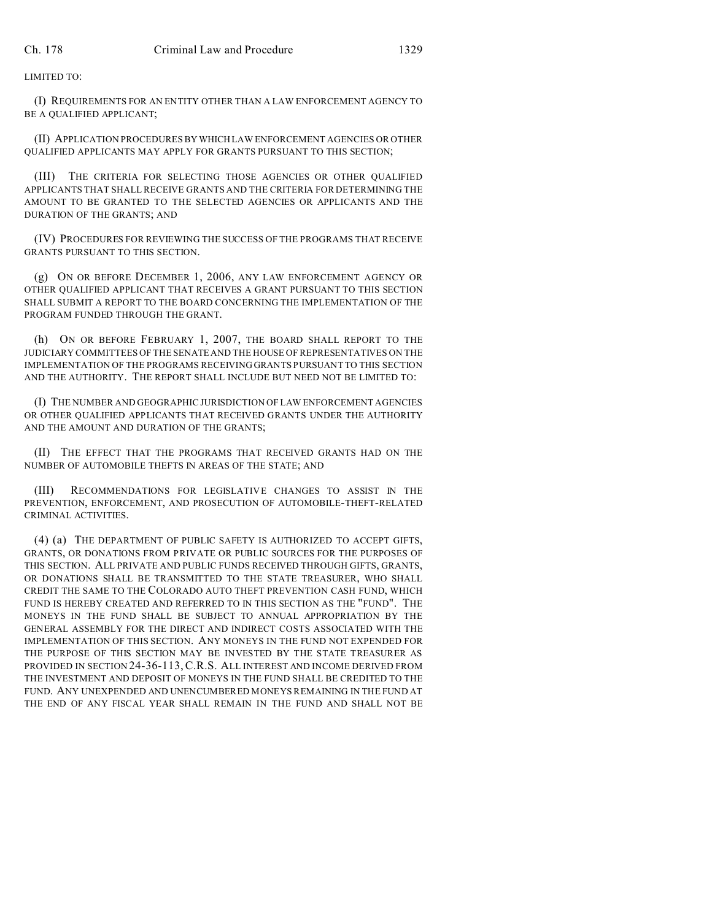## LIMITED TO:

(I) REQUIREMENTS FOR AN ENTITY OTHER THAN A LAW ENFORCEMENT AGENCY TO BE A QUALIFIED APPLICANT;

(II) APPLICATION PROCEDURES BYWHICH LAW ENFORCEMENT AGENCIES OR OTHER QUALIFIED APPLICANTS MAY APPLY FOR GRANTS PURSUANT TO THIS SECTION;

(III) THE CRITERIA FOR SELECTING THOSE AGENCIES OR OTHER QUALIFIED APPLICANTS THAT SHALL RECEIVE GRANTS AND THE CRITERIA FOR DETERMINING THE AMOUNT TO BE GRANTED TO THE SELECTED AGENCIES OR APPLICANTS AND THE DURATION OF THE GRANTS; AND

(IV) PROCEDURES FOR REVIEWING THE SUCCESS OF THE PROGRAMS THAT RECEIVE GRANTS PURSUANT TO THIS SECTION.

(g) ON OR BEFORE DECEMBER 1, 2006, ANY LAW ENFORCEMENT AGENCY OR OTHER QUALIFIED APPLICANT THAT RECEIVES A GRANT PURSUANT TO THIS SECTION SHALL SUBMIT A REPORT TO THE BOARD CONCERNING THE IMPLEMENTATION OF THE PROGRAM FUNDED THROUGH THE GRANT.

(h) ON OR BEFORE FEBRUARY 1, 2007, THE BOARD SHALL REPORT TO THE JUDICIARY COMMITTEES OF THE SENATE AND THE HOUSE OF REPRESENTATIVES ON THE IMPLEMENTATION OF THE PROGRAMS RECEIVING GRANTS PURSUANT TO THIS SECTION AND THE AUTHORITY. THE REPORT SHALL INCLUDE BUT NEED NOT BE LIMITED TO:

(I) THE NUMBER AND GEOGRAPHIC JURISDICTION OF LAW ENFORCEMENT AGENCIES OR OTHER QUALIFIED APPLICANTS THAT RECEIVED GRANTS UNDER THE AUTHORITY AND THE AMOUNT AND DURATION OF THE GRANTS;

(II) THE EFFECT THAT THE PROGRAMS THAT RECEIVED GRANTS HAD ON THE NUMBER OF AUTOMOBILE THEFTS IN AREAS OF THE STATE; AND

(III) RECOMMENDATIONS FOR LEGISLATIVE CHANGES TO ASSIST IN THE PREVENTION, ENFORCEMENT, AND PROSECUTION OF AUTOMOBILE-THEFT-RELATED CRIMINAL ACTIVITIES.

(4) (a) THE DEPARTMENT OF PUBLIC SAFETY IS AUTHORIZED TO ACCEPT GIFTS, GRANTS, OR DONATIONS FROM PRIVATE OR PUBLIC SOURCES FOR THE PURPOSES OF THIS SECTION. ALL PRIVATE AND PUBLIC FUNDS RECEIVED THROUGH GIFTS, GRANTS, OR DONATIONS SHALL BE TRANSMITTED TO THE STATE TREASURER, WHO SHALL CREDIT THE SAME TO THE COLORADO AUTO THEFT PREVENTION CASH FUND, WHICH FUND IS HEREBY CREATED AND REFERRED TO IN THIS SECTION AS THE "FUND". THE MONEYS IN THE FUND SHALL BE SUBJECT TO ANNUAL APPROPRIATION BY THE GENERAL ASSEMBLY FOR THE DIRECT AND INDIRECT COSTS ASSOCIATED WITH THE IMPLEMENTATION OF THIS SECTION. ANY MONEYS IN THE FUND NOT EXPENDED FOR THE PURPOSE OF THIS SECTION MAY BE INVESTED BY THE STATE TREASURER AS PROVIDED IN SECTION 24-36-113,C.R.S. ALL INTEREST AND INCOME DERIVED FROM THE INVESTMENT AND DEPOSIT OF MONEYS IN THE FUND SHALL BE CREDITED TO THE FUND. ANY UNEXPENDED AND UNENCUMBERED MONEYS REMAINING IN THE FUND AT THE END OF ANY FISCAL YEAR SHALL REMAIN IN THE FUND AND SHALL NOT BE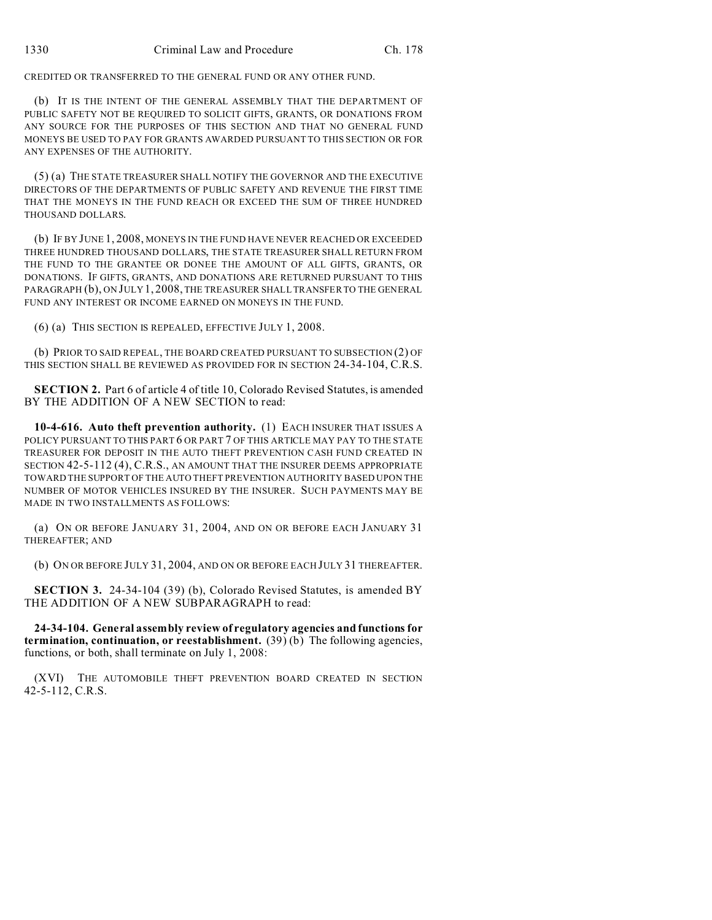CREDITED OR TRANSFERRED TO THE GENERAL FUND OR ANY OTHER FUND.

(b) IT IS THE INTENT OF THE GENERAL ASSEMBLY THAT THE DEPARTMENT OF PUBLIC SAFETY NOT BE REQUIRED TO SOLICIT GIFTS, GRANTS, OR DONATIONS FROM ANY SOURCE FOR THE PURPOSES OF THIS SECTION AND THAT NO GENERAL FUND MONEYS BE USED TO PAY FOR GRANTS AWARDED PURSUANT TO THIS SECTION OR FOR ANY EXPENSES OF THE AUTHORITY.

(5) (a) THE STATE TREASURER SHALL NOTIFY THE GOVERNOR AND THE EXECUTIVE DIRECTORS OF THE DEPARTMENTS OF PUBLIC SAFETY AND REVENUE THE FIRST TIME THAT THE MONEYS IN THE FUND REACH OR EXCEED THE SUM OF THREE HUNDRED THOUSAND DOLLARS.

(b) IF BY JUNE 1, 2008, MONEYS IN THE FUND HAVE NEVER REACHED OR EXCEEDED THREE HUNDRED THOUSAND DOLLARS, THE STATE TREASURER SHALL RETURN FROM THE FUND TO THE GRANTEE OR DONEE THE AMOUNT OF ALL GIFTS, GRANTS, OR DONATIONS. IF GIFTS, GRANTS, AND DONATIONS ARE RETURNED PURSUANT TO THIS PARAGRAPH (b), ON JULY 1, 2008, THE TREASURER SHALL TRANSFER TO THE GENERAL FUND ANY INTEREST OR INCOME EARNED ON MONEYS IN THE FUND.

(6) (a) THIS SECTION IS REPEALED, EFFECTIVE JULY 1, 2008.

(b) PRIOR TO SAID REPEAL, THE BOARD CREATED PURSUANT TO SUBSECTION (2) OF THIS SECTION SHALL BE REVIEWED AS PROVIDED FOR IN SECTION 24-34-104, C.R.S.

**SECTION 2.** Part 6 of article 4 of title 10, Colorado Revised Statutes, is amended BY THE ADDITION OF A NEW SECTION to read:

**10-4-616. Auto theft prevention authority.** (1) EACH INSURER THAT ISSUES A POLICY PURSUANT TO THIS PART 6 OR PART 7 OF THIS ARTICLE MAY PAY TO THE STATE TREASURER FOR DEPOSIT IN THE AUTO THEFT PREVENTION CASH FUND CREATED IN SECTION 42-5-112 (4), C.R.S., AN AMOUNT THAT THE INSURER DEEMS APPROPRIATE TOWARD THE SUPPORT OF THE AUTO THEFT PREVENTION AUTHORITY BASED UPON THE NUMBER OF MOTOR VEHICLES INSURED BY THE INSURER. SUCH PAYMENTS MAY BE MADE IN TWO INSTALLMENTS AS FOLLOWS:

(a) ON OR BEFORE JANUARY 31, 2004, AND ON OR BEFORE EACH JANUARY 31 THEREAFTER; AND

(b) ON OR BEFORE JULY 31, 2004, AND ON OR BEFORE EACH JULY 31 THEREAFTER.

**SECTION 3.** 24-34-104 (39) (b), Colorado Revised Statutes, is amended BY THE ADDITION OF A NEW SUBPARAGRAPH to read:

**24-34-104. General assembly review of regulatory agencies and functions for termination, continuation, or reestablishment.** (39) (b) The following agencies, functions, or both, shall terminate on July 1, 2008:

(XVI) THE AUTOMOBILE THEFT PREVENTION BOARD CREATED IN SECTION 42-5-112, C.R.S.